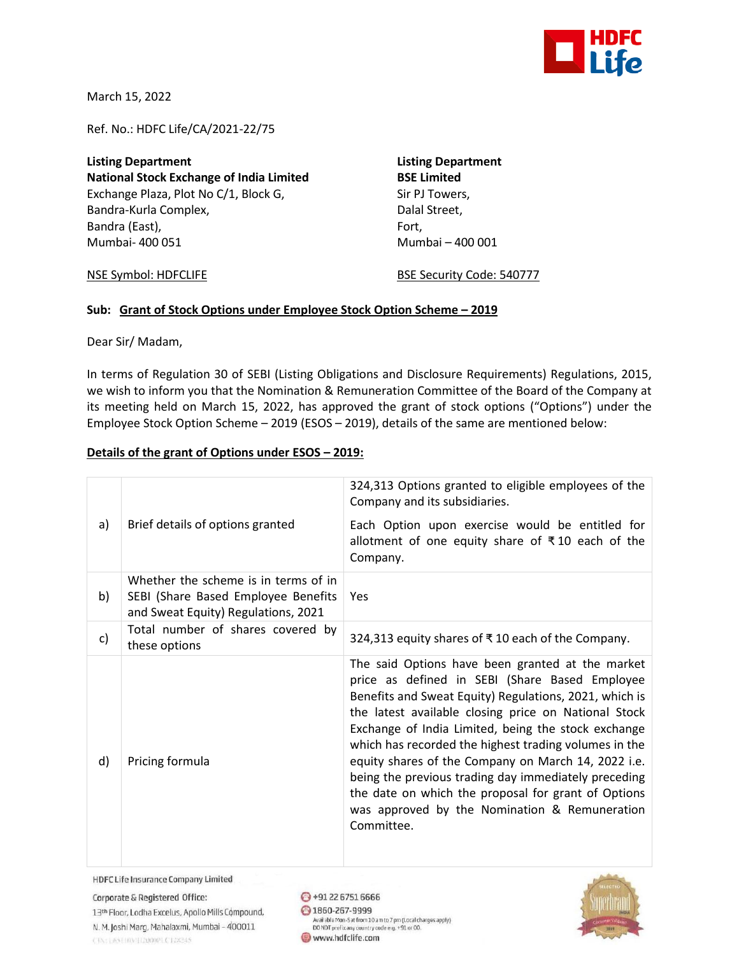

March 15, 2022

Ref. No.: HDFC Life/CA/2021-22/75

**Listing Department Listing Department National Stock Exchange of India Limited BSE Limited** Exchange Plaza, Plot No C/1, Block G, Sir PJ Towers, Bandra-Kurla Complex, and Dalal Street, Bandra (East), Fort, Fort, Fort, Fort, Fort, Fort, Fort, Fort, Fort, Fort, Fort, Fort, Fort, Fort, Fort, Fort, Fort, Fort, Fort, Fort, Fort, Fort, Fort, Fort, Fort, Fort, Fort, Fort, Fort, Fort, Fort, Fort, Fort, Fort, For Mumbai- 400 051 Mumbai – 400 001

NSE Symbol: HDFCLIFE BSE Security Code: 540777

## **Sub: Grant of Stock Options under Employee Stock Option Scheme – 2019**

Dear Sir/ Madam,

In terms of Regulation 30 of SEBI (Listing Obligations and Disclosure Requirements) Regulations, 2015, we wish to inform you that the Nomination & Remuneration Committee of the Board of the Company at its meeting held on March 15, 2022, has approved the grant of stock options ("Options") under the Employee Stock Option Scheme – 2019 (ESOS – 2019), details of the same are mentioned below:

## **Details of the grant of Options under ESOS – 2019:**

| a) | Brief details of options granted                                                                                   | 324,313 Options granted to eligible employees of the<br>Company and its subsidiaries.<br>Each Option upon exercise would be entitled for<br>allotment of one equity share of ₹10 each of the<br>Company.                                                                                                                                                                                                                                                                                                                                                                  |
|----|--------------------------------------------------------------------------------------------------------------------|---------------------------------------------------------------------------------------------------------------------------------------------------------------------------------------------------------------------------------------------------------------------------------------------------------------------------------------------------------------------------------------------------------------------------------------------------------------------------------------------------------------------------------------------------------------------------|
| b) | Whether the scheme is in terms of in<br>SEBI (Share Based Employee Benefits<br>and Sweat Equity) Regulations, 2021 | Yes                                                                                                                                                                                                                                                                                                                                                                                                                                                                                                                                                                       |
| c) | Total number of shares covered by<br>these options                                                                 | 324,313 equity shares of ₹10 each of the Company.                                                                                                                                                                                                                                                                                                                                                                                                                                                                                                                         |
| d) | Pricing formula                                                                                                    | The said Options have been granted at the market<br>price as defined in SEBI (Share Based Employee<br>Benefits and Sweat Equity) Regulations, 2021, which is<br>the latest available closing price on National Stock<br>Exchange of India Limited, being the stock exchange<br>which has recorded the highest trading volumes in the<br>equity shares of the Company on March 14, 2022 i.e.<br>being the previous trading day immediately preceding<br>the date on which the proposal for grant of Options<br>was approved by the Nomination & Remuneration<br>Committee. |

**HDFC Life Insurance Company Limited** 

Corporate & Registered Office: 13th Floor, Lodha Excelus, Apollo Mills Compound, N. M. Joshi Marq, Mahalaxmi, Mumbai - 400011 CIN: L65110M112000PLC128245

 $\bigodot$  +91 22 6751 6666 2 1860-267-9999 Available Mon-Sat from 10 am to 7 pm (Local charges apply)<br>DO NOT prefix any country code e.g. +91 or 00. www.hdfclife.com